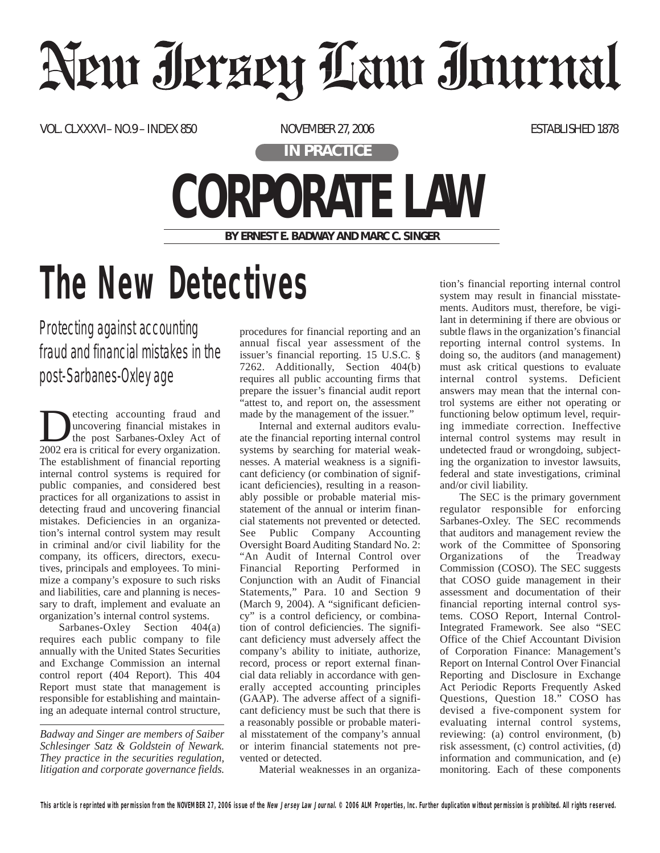## Neur Jerzey Law Journal

VOL. CLXXXVI– NO.9 – INDEX 850 NOVEMBER 27, 2006 ESTABLISHED 1878

**IN PRACTICE**

## **CORPORATE LAW BY ERNEST E. BADWAY AND MARC C. SINGER**

## **The New Detectives**

Protecting against accounting fraud and financial mistakes in the post-Sarbanes-Oxley age

etecting accounting fraud and uncovering financial mistakes in the post Sarbanes-Oxley Act of 2002 era is critical for every organization. The establishment of financial reporting internal control systems is required for public companies, and considered best practices for all organizations to assist in detecting fraud and uncovering financial mistakes. Deficiencies in an organization's internal control system may result in criminal and/or civil liability for the company, its officers, directors, executives, principals and employees. To minimize a company's exposure to such risks and liabilities, care and planning is necessary to draft, implement and evaluate an organization's internal control systems.

Sarbanes-Oxley Section 404(a) requires each public company to file annually with the United States Securities and Exchange Commission an internal control report (404 Report). This 404 Report must state that management is responsible for establishing and maintaining an adequate internal control structure,

*Badway and Singer are members of Saiber Schlesinger Satz & Goldstein of Newark. They practice in the securities regulation, litigation and corporate governance fields.*

procedures for financial reporting and an annual fiscal year assessment of the issuer's financial reporting. 15 U.S.C. § 7262. Additionally, Section 404(b) requires all public accounting firms that prepare the issuer's financial audit report "attest to, and report on, the assessment made by the management of the issuer."

Internal and external auditors evaluate the financial reporting internal control systems by searching for material weaknesses. A material weakness is a significant deficiency (or combination of significant deficiencies), resulting in a reasonably possible or probable material misstatement of the annual or interim financial statements not prevented or detected. See Public Company Accounting Oversight Board Auditing Standard No. 2: "An Audit of Internal Control over Financial Reporting Performed in Conjunction with an Audit of Financial Statements," Para. 10 and Section 9 (March 9, 2004). A "significant deficiency" is a control deficiency, or combination of control deficiencies. The significant deficiency must adversely affect the company's ability to initiate, authorize, record, process or report external financial data reliably in accordance with generally accepted accounting principles (GAAP). The adverse affect of a significant deficiency must be such that there is a reasonably possible or probable material misstatement of the company's annual or interim financial statements not prevented or detected.

Material weaknesses in an organiza-

tion's financial reporting internal control system may result in financial misstatements. Auditors must, therefore, be vigilant in determining if there are obvious or subtle flaws in the organization's financial reporting internal control systems. In doing so, the auditors (and management) must ask critical questions to evaluate internal control systems. Deficient answers may mean that the internal control systems are either not operating or functioning below optimum level, requiring immediate correction. Ineffective internal control systems may result in undetected fraud or wrongdoing, subjecting the organization to investor lawsuits, federal and state investigations, criminal and/or civil liability.

The SEC is the primary government regulator responsible for enforcing Sarbanes-Oxley. The SEC recommends that auditors and management review the work of the Committee of Sponsoring Organizations of the Treadway Commission (COSO). The SEC suggests that COSO guide management in their assessment and documentation of their financial reporting internal control systems. COSO Report, Internal Control-Integrated Framework. See also "SEC Office of the Chief Accountant Division of Corporation Finance: Management's Report on Internal Control Over Financial Reporting and Disclosure in Exchange Act Periodic Reports Frequently Asked Questions, Question 18." COSO has devised a five-component system for evaluating internal control systems, reviewing: (a) control environment, (b) risk assessment, (c) control activities, (d) information and communication, and (e) monitoring. Each of these components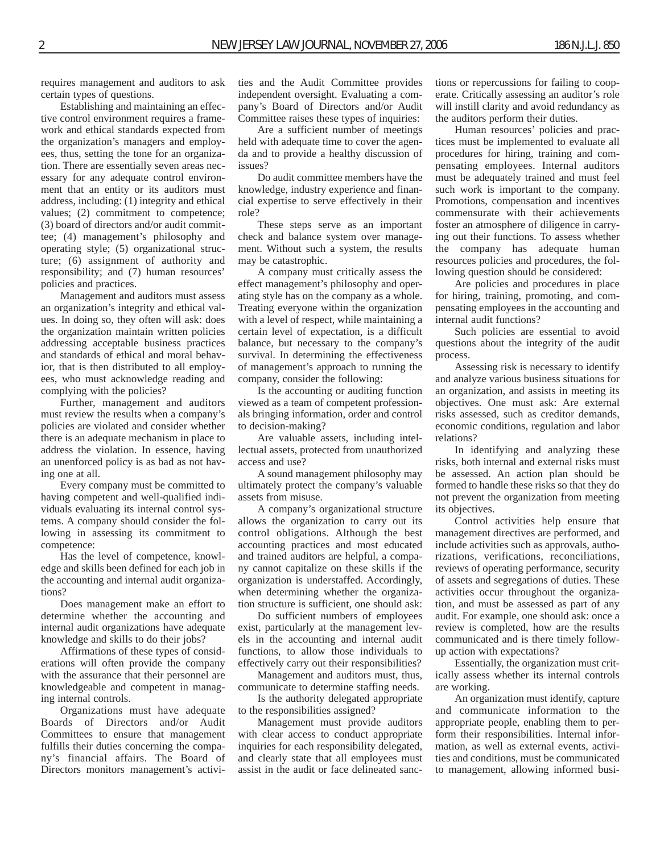requires management and auditors to ask certain types of questions.

Establishing and maintaining an effective control environment requires a framework and ethical standards expected from the organization's managers and employees, thus, setting the tone for an organization. There are essentially seven areas necessary for any adequate control environment that an entity or its auditors must address, including: (1) integrity and ethical values; (2) commitment to competence; (3) board of directors and/or audit committee; (4) management's philosophy and operating style; (5) organizational structure; (6) assignment of authority and responsibility; and (7) human resources' policies and practices.

Management and auditors must assess an organization's integrity and ethical values. In doing so, they often will ask: does the organization maintain written policies addressing acceptable business practices and standards of ethical and moral behavior, that is then distributed to all employees, who must acknowledge reading and complying with the policies?

Further, management and auditors must review the results when a company's policies are violated and consider whether there is an adequate mechanism in place to address the violation. In essence, having an unenforced policy is as bad as not having one at all.

Every company must be committed to having competent and well-qualified individuals evaluating its internal control systems. A company should consider the following in assessing its commitment to competence:

Has the level of competence, knowledge and skills been defined for each job in the accounting and internal audit organizations?

Does management make an effort to determine whether the accounting and internal audit organizations have adequate knowledge and skills to do their jobs?

Affirmations of these types of considerations will often provide the company with the assurance that their personnel are knowledgeable and competent in managing internal controls.

Organizations must have adequate Boards of Directors and/or Audit Committees to ensure that management fulfills their duties concerning the company's financial affairs. The Board of Directors monitors management's activities and the Audit Committee provides independent oversight. Evaluating a company's Board of Directors and/or Audit Committee raises these types of inquiries:

Are a sufficient number of meetings held with adequate time to cover the agenda and to provide a healthy discussion of issues?

Do audit committee members have the knowledge, industry experience and financial expertise to serve effectively in their role?

These steps serve as an important check and balance system over management. Without such a system, the results may be catastrophic.

A company must critically assess the effect management's philosophy and operating style has on the company as a whole. Treating everyone within the organization with a level of respect, while maintaining a certain level of expectation, is a difficult balance, but necessary to the company's survival. In determining the effectiveness of management's approach to running the company, consider the following:

Is the accounting or auditing function viewed as a team of competent professionals bringing information, order and control to decision-making?

Are valuable assets, including intellectual assets, protected from unauthorized access and use?

A sound management philosophy may ultimately protect the company's valuable assets from misuse.

A company's organizational structure allows the organization to carry out its control obligations. Although the best accounting practices and most educated and trained auditors are helpful, a company cannot capitalize on these skills if the organization is understaffed. Accordingly, when determining whether the organization structure is sufficient, one should ask:

Do sufficient numbers of employees exist, particularly at the management levels in the accounting and internal audit functions, to allow those individuals to effectively carry out their responsibilities?

Management and auditors must, thus, communicate to determine staffing needs.

Is the authority delegated appropriate to the responsibilities assigned?

Management must provide auditors with clear access to conduct appropriate inquiries for each responsibility delegated, and clearly state that all employees must assist in the audit or face delineated sanctions or repercussions for failing to cooperate. Critically assessing an auditor's role will instill clarity and avoid redundancy as the auditors perform their duties.

Human resources' policies and practices must be implemented to evaluate all procedures for hiring, training and compensating employees. Internal auditors must be adequately trained and must feel such work is important to the company. Promotions, compensation and incentives commensurate with their achievements foster an atmosphere of diligence in carrying out their functions. To assess whether the company has adequate human resources policies and procedures, the following question should be considered:

Are policies and procedures in place for hiring, training, promoting, and compensating employees in the accounting and internal audit functions?

Such policies are essential to avoid questions about the integrity of the audit process.

Assessing risk is necessary to identify and analyze various business situations for an organization, and assists in meeting its objectives. One must ask: Are external risks assessed, such as creditor demands, economic conditions, regulation and labor relations?

In identifying and analyzing these risks, both internal and external risks must be assessed. An action plan should be formed to handle these risks so that they do not prevent the organization from meeting its objectives.

Control activities help ensure that management directives are performed, and include activities such as approvals, authorizations, verifications, reconciliations, reviews of operating performance, security of assets and segregations of duties. These activities occur throughout the organization, and must be assessed as part of any audit. For example, one should ask: once a review is completed, how are the results communicated and is there timely followup action with expectations?

Essentially, the organization must critically assess whether its internal controls are working.

An organization must identify, capture and communicate information to the appropriate people, enabling them to perform their responsibilities. Internal information, as well as external events, activities and conditions, must be communicated to management, allowing informed busi